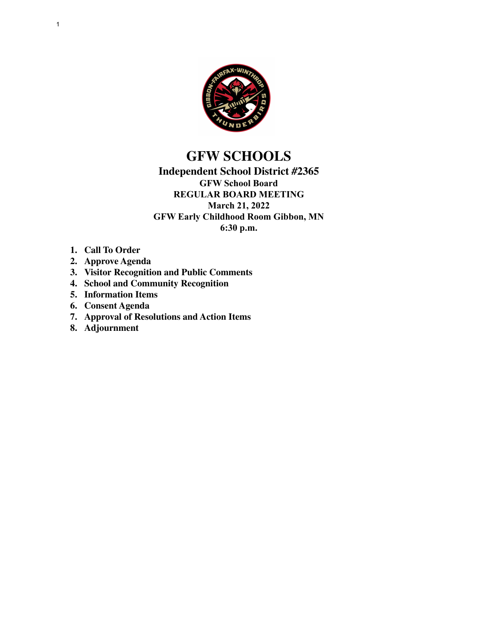

# **GFW SCHOOLS**

### **Independent School District #2365 GFW School Board REGULAR BOARD MEETING March 21, 2022 GFW Early Childhood Room Gibbon, MN 6:30 p.m.**

- **1. Call To Order**
- **2. Approve Agenda**
- **3. Visitor Recognition and Public Comments**
- **4. School and Community Recognition**
- **5. Information Items**
- **6. Consent Agenda**
- **7. Approval of Resolutions and Action Items**
- **8. Adjournment**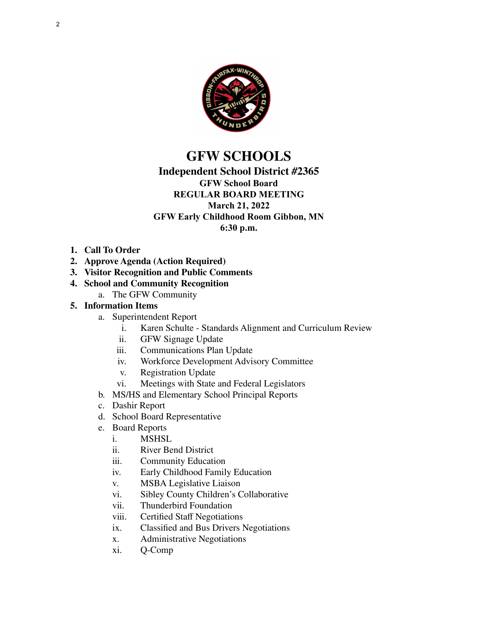

# **GFW SCHOOLS**

#### **Independent School District #2365 GFW School Board**

## **REGULAR BOARD MEETING March 21, 2022 GFW Early Childhood Room Gibbon, MN**

**6:30 p.m.**

- **1. Call To Order**
- **2. Approve Agenda (Action Required)**
- **3. Visitor Recognition and Public Comments**
- **4. School and Community Recognition**
	- a. The GFW Community
- **5. Information Items**
	- a. Superintendent Report
		- i. Karen Schulte Standards Alignment and Curriculum Review
		- ii. GFW Signage Update
		- iii. Communications Plan Update
		- iv. Workforce Development Advisory Committee
		- v. Registration Update<br>vi. Meetings with State
		- Meetings with State and Federal Legislators
	- b. MS/HS and Elementary School Principal Reports
	- c. Dashir Report
	- d. School Board Representative
	- e. Board Reports
		- i. MSHSL
		- ii. River Bend District
		- iii. Community Education
		- iv. Early Childhood Family Education
		- v. MSBA Legislative Liaison
		- vi. Sibley County Children's Collaborative
		- vii. Thunderbird Foundation
		- viii. Certified Staff Negotiations
		- ix. Classified and Bus Drivers Negotiations
		- x. Administrative Negotiations
		- xi. Q-Comp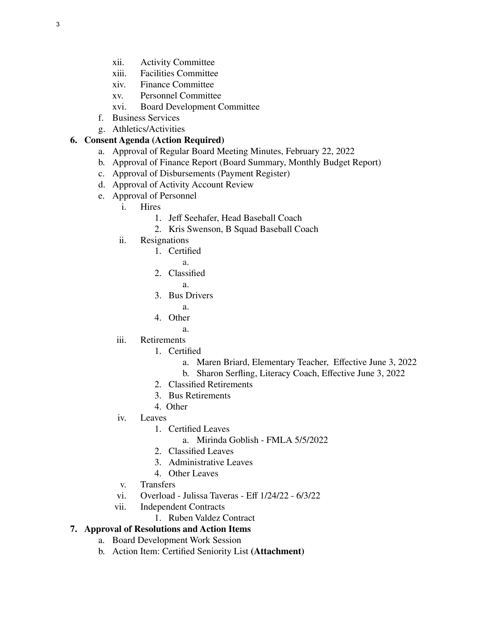- xii. Activity Committee
- xiii. Facilities Committee
- xiv. Finance Committee
- xv. Personnel Committee
- xvi. Board Development Committee
- f. Business Services
- g. Athletics/Activities

### **6. Consent Agenda (Action Required)**

- a. Approval of Regular Board Meeting Minutes, February 22, 2022
- b. Approval of Finance Report (Board Summary, Monthly Budget Report)
- c. Approval of Disbursements (Payment Register)
- d. Approval of Activity Account Review
- e. Approval of Personnel
	- i. Hires
		- 1. Jeff Seehafer, Head Baseball Coach
		- 2. Kris Swenson, B Squad Baseball Coach
	- ii. Resignations
		- 1. Certified
			- a.
		- 2. Classified
			- a.
		- 3. Bus Drivers
		- a. 4. Other
			- a.
			-
	- iii. Retirements
		- 1. Certified
			- a. Maren Briard, Elementary Teacher, Effective June 3, 2022
			- b. Sharon Serfling, Literacy Coach, Effective June 3, 2022
		- 2. Classified Retirements
		- 3. Bus Retirements
		- 4. Other
	- iv. Leaves
		- 1. Certified Leaves
			- a. Mirinda Goblish FMLA 5/5/2022
		- 2. Classified Leaves
		- 3. Administrative Leaves
		- 4. Other Leaves
	- v. Transfers
	- vi. Overload Julissa Taveras Eff 1/24/22 6/3/22
	- vii. Independent Contracts
		- 1. Ruben Valdez Contract

## **7. Approval of Resolutions and Action Items**

- a. Board Development Work Session
- b. Action Item: Certified Seniority List **(Attachment)**